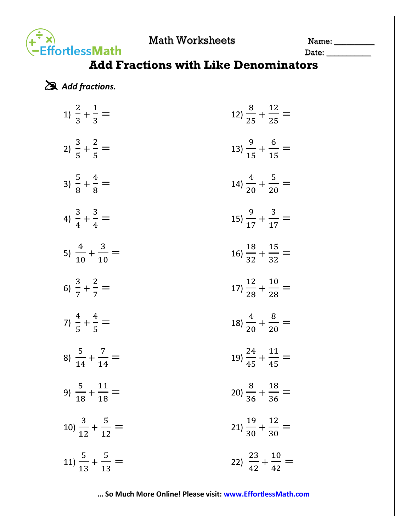Math Worksheets Name: 1988

## Date: \_\_\_\_\_\_\_\_\_\_\_

## **Add Fractions with Like Denominators**

*Add fractions.*

**-**<br>FindessMath

| 1) $\frac{2}{3} + \frac{1}{3} =$    | 12) $\frac{8}{25} + \frac{12}{25} =$  |
|-------------------------------------|---------------------------------------|
| 2) $\frac{3}{5} + \frac{2}{5} =$    | 13) $\frac{9}{15} + \frac{6}{15} =$   |
| 3) $\frac{5}{8} + \frac{4}{8} =$    | 14) $\frac{4}{20} + \frac{5}{20} =$   |
| 4) $\frac{3}{4} + \frac{3}{4} =$    | 15) $\frac{9}{17} + \frac{3}{17} =$   |
| 5) $\frac{4}{10} + \frac{3}{10} =$  | 16) $\frac{18}{32} + \frac{15}{32} =$ |
| 6) $\frac{3}{7} + \frac{2}{7} =$    | 17) $\frac{12}{28} + \frac{10}{28} =$ |
| 7) $\frac{4}{5} + \frac{4}{5} =$    | 18) $\frac{4}{20} + \frac{8}{20} =$   |
| 8) $\frac{5}{14} + \frac{7}{14} =$  | 19) $\frac{24}{45} + \frac{11}{45} =$ |
| 9) $\frac{5}{18} + \frac{11}{18} =$ | 20) $\frac{8}{36} + \frac{18}{36} =$  |
| 10) $\frac{3}{12} + \frac{5}{12} =$ | 21) $\frac{19}{30} + \frac{12}{30} =$ |
| 11) $\frac{5}{13} + \frac{5}{13} =$ | 22) $\frac{23}{42} + \frac{10}{42} =$ |

**… So Much More Online! Please visit: [www.EffortlessMath.com](file:///C:/Users/PC/Downloads/www.EffortlessMath.com)**